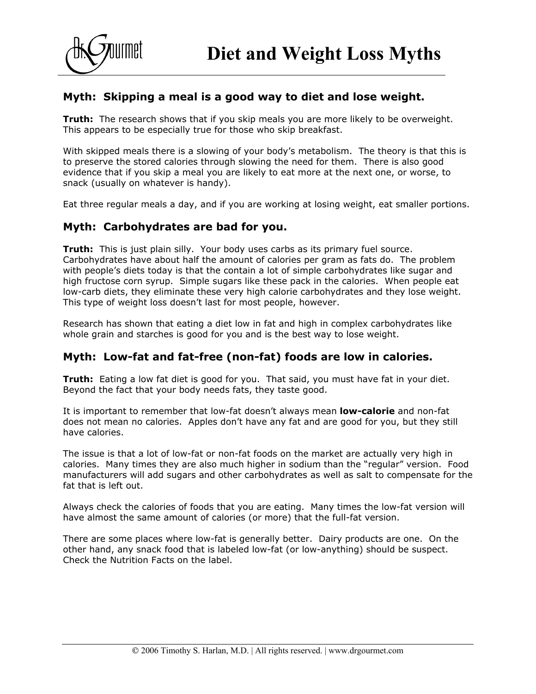

# **Myth: Skipping a meal is a good way to diet and lose weight.**

**Truth:** The research shows that if you skip meals you are more likely to be overweight. This appears to be especially true for those who skip breakfast.

With skipped meals there is a slowing of your body's metabolism. The theory is that this is to preserve the stored calories through slowing the need for them. There is also good evidence that if you skip a meal you are likely to eat more at the next one, or worse, to snack (usually on whatever is handy).

Eat three regular meals a day, and if you are working at losing weight, eat smaller portions.

#### **Myth: Carbohydrates are bad for you.**

**Truth:** This is just plain silly. Your body uses carbs as its primary fuel source. Carbohydrates have about half the amount of calories per gram as fats do. The problem with people's diets today is that the contain a lot of simple carbohydrates like sugar and high fructose corn syrup. Simple sugars like these pack in the calories. When people eat low-carb diets, they eliminate these very high calorie carbohydrates and they lose weight. This type of weight loss doesn't last for most people, however.

Research has shown that eating a diet low in fat and high in complex carbohydrates like whole grain and starches is good for you and is the best way to lose weight.

## **Myth: Low-fat and fat-free (non-fat) foods are low in calories.**

**Truth:** Eating a low fat diet is good for you. That said, you must have fat in your diet. Beyond the fact that your body needs fats, they taste good.

It is important to remember that low-fat doesn't always mean **low-calorie** and non-fat does not mean no calories. Apples don't have any fat and are good for you, but they still have calories.

The issue is that a lot of low-fat or non-fat foods on the market are actually very high in calories. Many times they are also much higher in sodium than the "regular" version. Food manufacturers will add sugars and other carbohydrates as well as salt to compensate for the fat that is left out.

Always check the calories of foods that you are eating. Many times the low-fat version will have almost the same amount of calories (or more) that the full-fat version.

There are some places where low-fat is generally better. Dairy products are one. On the other hand, any snack food that is labeled low-fat (or low-anything) should be suspect. Check the Nutrition Facts on the label.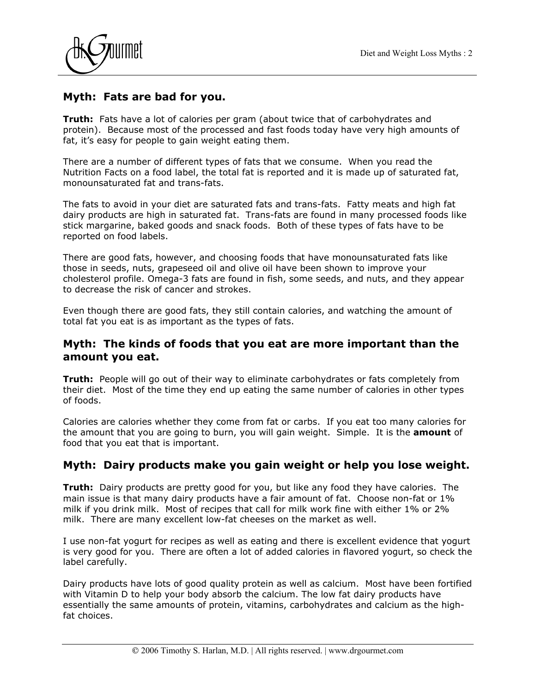



## **Myth: Fats are bad for you.**

**Truth:** Fats have a lot of calories per gram (about twice that of carbohydrates and protein). Because most of the processed and fast foods today have very high amounts of fat, it's easy for people to gain weight eating them.

There are a number of different types of fats that we consume. When you read the Nutrition Facts on a food label, the total fat is reported and it is made up of saturated fat, monounsaturated fat and trans-fats.

The fats to avoid in your diet are saturated fats and trans-fats. Fatty meats and high fat dairy products are high in saturated fat. Trans-fats are found in many processed foods like stick margarine, baked goods and snack foods. Both of these types of fats have to be reported on food labels.

There are good fats, however, and choosing foods that have monounsaturated fats like those in seeds, nuts, grapeseed oil and olive oil have been shown to improve your cholesterol profile. Omega-3 fats are found in fish, some seeds, and nuts, and they appear to decrease the risk of cancer and strokes.

Even though there are good fats, they still contain calories, and watching the amount of total fat you eat is as important as the types of fats.

#### **Myth: The kinds of foods that you eat are more important than the amount you eat.**

**Truth:** People will go out of their way to eliminate carbohydrates or fats completely from their diet. Most of the time they end up eating the same number of calories in other types of foods.

Calories are calories whether they come from fat or carbs. If you eat too many calories for the amount that you are going to burn, you will gain weight. Simple. It is the **amount** of food that you eat that is important.

## **Myth: Dairy products make you gain weight or help you lose weight.**

**Truth:** Dairy products are pretty good for you, but like any food they have calories. The main issue is that many dairy products have a fair amount of fat. Choose non-fat or 1% milk if you drink milk. Most of recipes that call for milk work fine with either 1% or 2% milk. There are many excellent low-fat cheeses on the market as well.

I use non-fat yogurt for recipes as well as eating and there is excellent evidence that yogurt is very good for you. There are often a lot of added calories in flavored yogurt, so check the label carefully.

Dairy products have lots of good quality protein as well as calcium. Most have been fortified with Vitamin D to help your body absorb the calcium. The low fat dairy products have essentially the same amounts of protein, vitamins, carbohydrates and calcium as the highfat choices.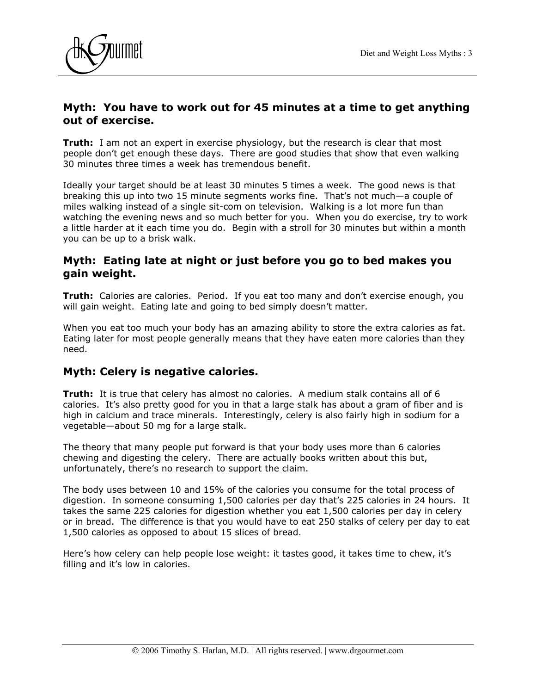

## **Myth: You have to work out for 45 minutes at a time to get anything out of exercise.**

**Truth:** I am not an expert in exercise physiology, but the research is clear that most people don't get enough these days. There are good studies that show that even walking 30 minutes three times a week has tremendous benefit.

Ideally your target should be at least 30 minutes 5 times a week. The good news is that breaking this up into two 15 minute segments works fine. That's not much—a couple of miles walking instead of a single sit-com on television. Walking is a lot more fun than watching the evening news and so much better for you. When you do exercise, try to work a little harder at it each time you do. Begin with a stroll for 30 minutes but within a month you can be up to a brisk walk.

#### **Myth: Eating late at night or just before you go to bed makes you gain weight.**

**Truth:** Calories are calories. Period. If you eat too many and don't exercise enough, you will gain weight. Eating late and going to bed simply doesn't matter.

When you eat too much your body has an amazing ability to store the extra calories as fat. Eating later for most people generally means that they have eaten more calories than they need.

## **Myth: Celery is negative calories.**

**Truth:** It is true that celery has almost no calories. A medium stalk contains all of 6 calories. It's also pretty good for you in that a large stalk has about a gram of fiber and is high in calcium and trace minerals. Interestingly, celery is also fairly high in sodium for a vegetable—about 50 mg for a large stalk.

The theory that many people put forward is that your body uses more than 6 calories chewing and digesting the celery. There are actually books written about this but, unfortunately, there's no research to support the claim.

The body uses between 10 and 15% of the calories you consume for the total process of digestion. In someone consuming 1,500 calories per day that's 225 calories in 24 hours. It takes the same 225 calories for digestion whether you eat 1,500 calories per day in celery or in bread. The difference is that you would have to eat 250 stalks of celery per day to eat 1,500 calories as opposed to about 15 slices of bread.

Here's how celery can help people lose weight: it tastes good, it takes time to chew, it's filling and it's low in calories.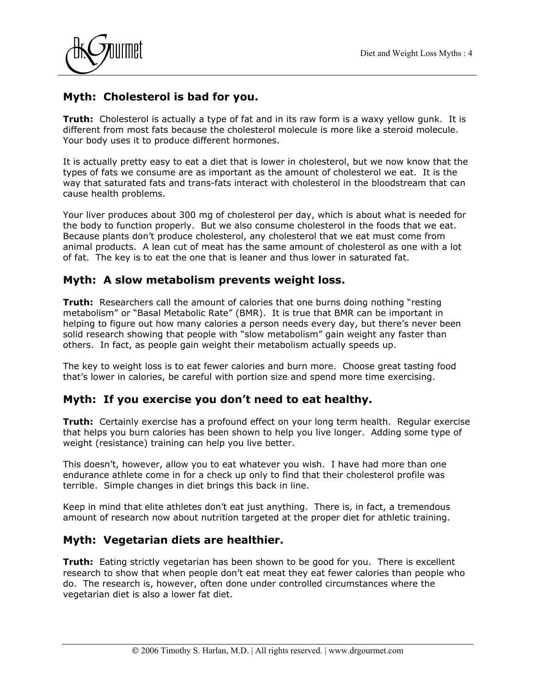



# **Myth: Cholesterol is bad for you.**

**Truth:** Cholesterol is actually a type of fat and in its raw form is a waxy yellow gunk. It is different from most fats because the cholesterol molecule is more like a steroid molecule. Your body uses it to produce different hormones.

It is actually pretty easy to eat a diet that is lower in cholesterol, but we now know that the types of fats we consume are as important as the amount of cholesterol we eat. It is the way that saturated fats and trans-fats interact with cholesterol in the bloodstream that can cause health problems.

Your liver produces about 300 mg of cholesterol per day, which is about what is needed for the body to function properly. But we also consume cholesterol in the foods that we eat. Because plants don't produce cholesterol, any cholesterol that we eat must come from animal products. A lean cut of meat has the same amount of cholesterol as one with a lot of fat. The key is to eat the one that is leaner and thus lower in saturated fat.

## **Myth: A slow metabolism prevents weight loss.**

**Truth:** Researchers call the amount of calories that one burns doing nothing "resting metabolism" or "Basal Metabolic Rate" (BMR). It is true that BMR can be important in helping to figure out how many calories a person needs every day, but there's never been solid research showing that people with "slow metabolism" gain weight any faster than others. In fact, as people gain weight their metabolism actually speeds up.

The key to weight loss is to eat fewer calories and burn more. Choose great tasting food that's lower in calories, be careful with portion size and spend more time exercising.

## **Myth: If you exercise you don't need to eat healthy.**

**Truth:** Certainly exercise has a profound effect on your long term health. Regular exercise that helps you burn calories has been shown to help you live longer. Adding some type of weight (resistance) training can help you live better.

This doesn't, however, allow you to eat whatever you wish. I have had more than one endurance athlete come in for a check up only to find that their cholesterol profile was terrible. Simple changes in diet brings this back in line.

Keep in mind that elite athletes don't eat just anything. There is, in fact, a tremendous amount of research now about nutrition targeted at the proper diet for athletic training.

## **Myth: Vegetarian diets are healthier.**

**Truth:** Eating strictly vegetarian has been shown to be good for you. There is excellent research to show that when people don't eat meat they eat fewer calories than people who do. The research is, however, often done under controlled circumstances where the vegetarian diet is also a lower fat diet.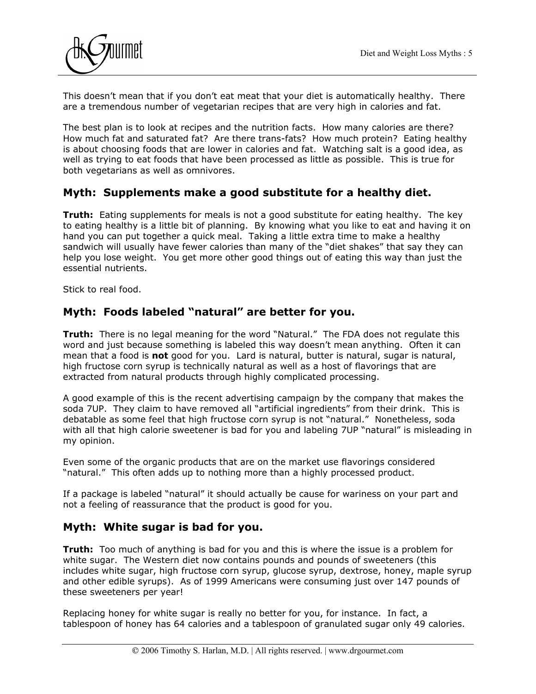

This doesn't mean that if you don't eat meat that your diet is automatically healthy. There are a tremendous number of vegetarian recipes that are very high in calories and fat.

The best plan is to look at recipes and the nutrition facts. How many calories are there? How much fat and saturated fat? Are there trans-fats? How much protein? Eating healthy is about choosing foods that are lower in calories and fat. Watching salt is a good idea, as well as trying to eat foods that have been processed as little as possible. This is true for both vegetarians as well as omnivores.

#### **Myth: Supplements make a good substitute for a healthy diet.**

**Truth:** Eating supplements for meals is not a good substitute for eating healthy. The key to eating healthy is a little bit of planning. By knowing what you like to eat and having it on hand you can put together a quick meal. Taking a little extra time to make a healthy sandwich will usually have fewer calories than many of the "diet shakes" that say they can help you lose weight. You get more other good things out of eating this way than just the essential nutrients.

Stick to real food.

#### **Myth: Foods labeled "natural" are better for you.**

**Truth:** There is no legal meaning for the word "Natural." The FDA does not regulate this word and just because something is labeled this way doesn't mean anything. Often it can mean that a food is **not** good for you. Lard is natural, butter is natural, sugar is natural, high fructose corn syrup is technically natural as well as a host of flavorings that are extracted from natural products through highly complicated processing.

A good example of this is the recent advertising campaign by the company that makes the soda 7UP. They claim to have removed all "artificial ingredients" from their drink. This is debatable as some feel that high fructose corn syrup is not "natural." Nonetheless, soda with all that high calorie sweetener is bad for you and labeling 7UP "natural" is misleading in my opinion.

Even some of the organic products that are on the market use flavorings considered "natural." This often adds up to nothing more than a highly processed product.

If a package is labeled "natural" it should actually be cause for wariness on your part and not a feeling of reassurance that the product is good for you.

#### **Myth: White sugar is bad for you.**

**Truth:** Too much of anything is bad for you and this is where the issue is a problem for white sugar. The Western diet now contains pounds and pounds of sweeteners (this includes white sugar, high fructose corn syrup, glucose syrup, dextrose, honey, maple syrup and other edible syrups). As of 1999 Americans were consuming just over 147 pounds of these sweeteners per year!

Replacing honey for white sugar is really no better for you, for instance. In fact, a tablespoon of honey has 64 calories and a tablespoon of granulated sugar only 49 calories.